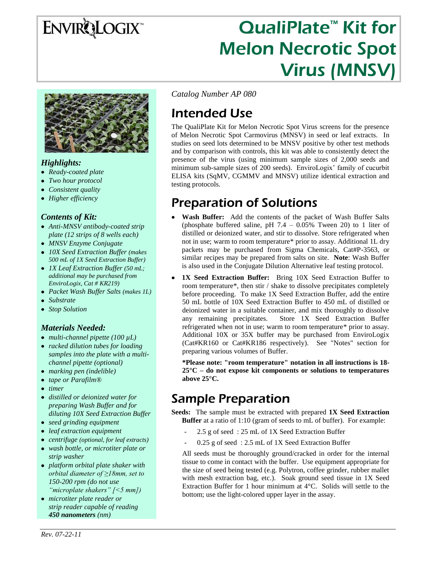# ENVIRQLOGIX<sup>\*</sup>

# QualiPlate<sup>™</sup> Kit for Melon Necrotic Spot Virus (MNSV)



#### *Highlights:*

- *Ready-coated plate*
- *Two hour protocol*
- *Consistent quality*
- *Higher efficiency*

#### *Contents of Kit:*

- *Anti-MNSV antibody-coated strip plate (12 strips of 8 wells each)*
- *MNSV Enzyme Conjugate*
- *10X Seed Extraction Buffer (makes 500 mL of 1X Seed Extraction Buffer)*
- *1X Leaf Extraction Buffer (50 mL; additional may be purchased from EnviroLogix, Cat # KR219)*
- *Packet Wash Buffer Salts (makes 1L)*
- *Substrate*
- *Stop Solution*

#### *Materials Needed:*

- *multi-channel pipette (100 µL)*
- *racked dilution tubes for loading samples into the plate with a multichannel pipette (optional)*
- *marking pen (indelible)*
- *tape or Parafilm®*
- *timer*
- *distilled or deionized water for preparing Wash Buffer and for diluting 10X Seed Extraction Buffer*
- *seed grinding equipment*
- *leaf extraction equipment*
- *centrifuge (optional, for leaf extracts)*
- *wash bottle, or microtiter plate or strip washer*
- *platform orbital plate shaker with orbital diameter of ≥18mm, set to 150-200 rpm (do not use "microplate shakers" [<5 mm])*
- *microtiter plate reader or strip reader capable of reading 450 nanometers (nm)*

*Catalog Number AP 080*

## Intended Use

The QualiPlate Kit for Melon Necrotic Spot Virus screens for the presence of Melon Necrotic Spot Carmovirus (MNSV) in seed or leaf extracts. In studies on seed lots determined to be MNSV positive by other test methods and by comparison with controls, this kit was able to consistently detect the presence of the virus (using minimum sample sizes of 2,000 seeds and minimum sub-sample sizes of 200 seeds). EnviroLogix' family of cucurbit ELISA kits (SqMV, CGMMV and MNSV) utilize identical extraction and testing protocols.

### Preparation of Solutions

- **Wash Buffer:** Add the contents of the packet of Wash Buffer Salts (phosphate buffered saline, pH  $7.4 - 0.05\%$  Tween 20) to 1 liter of distilled or deionized water, and stir to dissolve. Store refrigerated when not in use; warm to room temperature\* prior to assay. Additional 1L dry packets may be purchased from Sigma Chemicals, Cat#P-3563, or similar recipes may be prepared from salts on site. **Note**: Wash Buffer is also used in the Conjugate Dilution Alternative leaf testing protocol.
- **1X Seed Extraction Buffer:** Bring 10X Seed Extraction Buffer to room temperature\*, then stir / shake to dissolve precipitates completely before proceeding. To make 1X Seed Extraction Buffer, add the entire 50 mL bottle of 10X Seed Extraction Buffer to 450 mL of distilled or deionized water in a suitable container, and mix thoroughly to dissolve any remaining precipitates. Store 1X Seed Extraction Buffer refrigerated when not in use; warm to room temperature\* prior to assay. Additional 10X or 35X buffer may be purchased from EnviroLogix (Cat#KR160 or Cat#KR186 respectively). See "Notes" section for preparing various volumes of Buffer.

**\*Please note: "room temperature" notation in all instructions is 18- 25°C – do not expose kit components or solutions to temperatures above 25°C.**

### Sample Preparation

**Seeds:** The sample must be extracted with prepared **1X Seed Extraction Buffer** at a ratio of 1:10 (gram of seeds to mL of buffer). For example:

- 2.5 g of seed: 25 mL of 1X Seed Extraction Buffer
- 0.25 g of seed : 2.5 mL of 1X Seed Extraction Buffer

All seeds must be thoroughly ground/cracked in order for the internal tissue to come in contact with the buffer. Use equipment appropriate for the size of seed being tested (e.g. Polytron, coffee grinder, rubber mallet with mesh extraction bag, etc.). Soak ground seed tissue in 1X Seed Extraction Buffer for 1 hour minimum at 4°C. Solids will settle to the bottom; use the light-colored upper layer in the assay.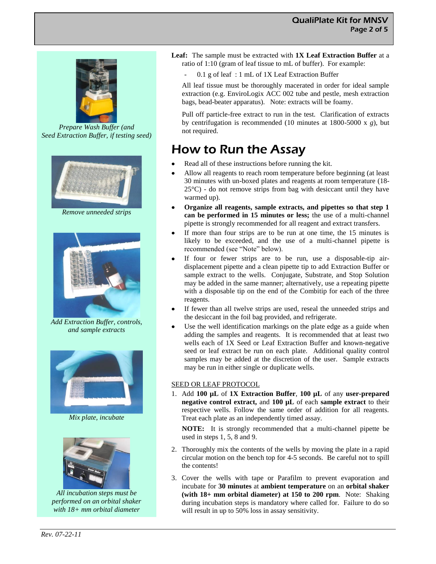

*Prepare Wash Buffer (and Seed Extraction Buffer, if testing seed)*



*Remove unneeded strips*



*Add Extraction Buffer, controls, and sample extracts*



*Mix plate, incubate*



*All incubation steps must be performed on an orbital shaker with 18+ mm orbital diameter*

- **Leaf:** The sample must be extracted with **1X Leaf Extraction Buffer** at a ratio of 1:10 (gram of leaf tissue to mL of buffer). For example:
	- 0.1 g of leaf : 1 mL of 1X Leaf Extraction Buffer

All leaf tissue must be thoroughly macerated in order for ideal sample extraction (e.g. EnviroLogix ACC 002 tube and pestle, mesh extraction bags, bead-beater apparatus). Note: extracts will be foamy.

Pull off particle-free extract to run in the test. Clarification of extracts by centrifugation is recommended (10 minutes at 1800-5000 x *g*), but not required.

### How to Run the Assay

- Read all of these instructions before running the kit.
- Allow all reagents to reach room temperature before beginning (at least 30 minutes with un-boxed plates and reagents at room temperature (18-  $25^{\circ}$ C) - do not remove strips from bag with desiccant until they have warmed up).
- **Organize all reagents, sample extracts, and pipettes so that step 1**   $\bullet$ **can be performed in 15 minutes or less;** the use of a multi-channel pipette is strongly recommended for all reagent and extract transfers.
- If more than four strips are to be run at one time, the 15 minutes is  $\bullet$ likely to be exceeded, and the use of a multi-channel pipette is recommended (see "Note" below).
- If four or fewer strips are to be run, use a disposable-tip air- $\bullet$ displacement pipette and a clean pipette tip to add Extraction Buffer or sample extract to the wells. Conjugate, Substrate, and Stop Solution may be added in the same manner; alternatively, use a repeating pipette with a disposable tip on the end of the Combitip for each of the three reagents.
- If fewer than all twelve strips are used, reseal the unneeded strips and the desiccant in the foil bag provided, and refrigerate.
- Use the well identification markings on the plate edge as a guide when  $\bullet$ adding the samples and reagents. It is recommended that at least two wells each of 1X Seed or Leaf Extraction Buffer and known-negative seed or leaf extract be run on each plate. Additional quality control samples may be added at the discretion of the user. Sample extracts may be run in either single or duplicate wells.

#### SEED OR LEAF PROTOCOL

1. Add **100 µL** of **1X Extraction Buffer**, **100 µL** of any **user-prepared negative control extract,** and **100 µL** of each **sample extract** to their respective wells. Follow the same order of addition for all reagents. Treat each plate as an independently timed assay.

**NOTE:** It is strongly recommended that a multi-channel pipette be used in steps 1, 5, 8 and 9.

- 2. Thoroughly mix the contents of the wells by moving the plate in a rapid circular motion on the bench top for 4-5 seconds. Be careful not to spill the contents!
- 3. Cover the wells with tape or Parafilm to prevent evaporation and incubate for **30 minutes** at **ambient temperature** on an **orbital shaker (with 18+ mm orbital diameter) at 150 to 200 rpm**. Note: Shaking during incubation steps is mandatory where called for. Failure to do so will result in up to 50% loss in assay sensitivity.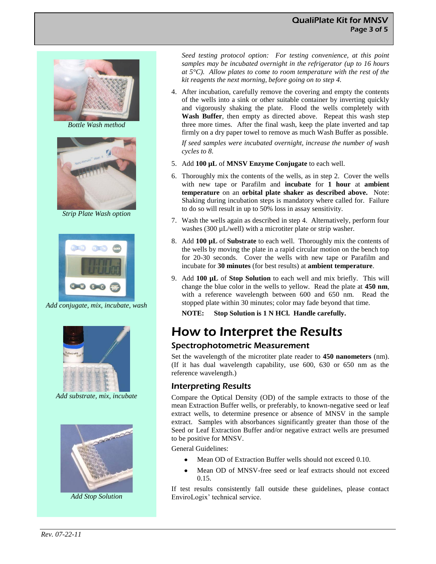

*Bottle Wash method*



*Strip Plate Wash option*



*Add conjugate, mix, incubate, wash*



*Add substrate, mix, incubate*



*Add Stop Solution*

*Seed testing protocol option: For testing convenience, at this point samples may be incubated overnight in the refrigerator (up to 16 hours at 5°C). Allow plates to come to room temperature with the rest of the kit reagents the next morning, before going on to step 4.*

- 4. After incubation, carefully remove the covering and empty the contents of the wells into a sink or other suitable container by inverting quickly and vigorously shaking the plate. Flood the wells completely with **Wash Buffer**, then empty as directed above. Repeat this wash step three more times. After the final wash, keep the plate inverted and tap firmly on a dry paper towel to remove as much Wash Buffer as possible. *If seed samples were incubated overnight, increase the number of wash cycles to 8.*
- 5. Add **100 µL** of **MNSV Enzyme Conjugate** to each well.
- 6. Thoroughly mix the contents of the wells, as in step 2. Cover the wells with new tape or Parafilm and **incubate** for **1 hour** at **ambient temperature** on an **orbital plate shaker as described above.** Note: Shaking during incubation steps is mandatory where called for. Failure to do so will result in up to 50% loss in assay sensitivity.
- 7. Wash the wells again as described in step 4. Alternatively, perform four washes (300 µL/well) with a microtiter plate or strip washer.
- 8. Add **100 µL** of **Substrate** to each well. Thoroughly mix the contents of the wells by moving the plate in a rapid circular motion on the bench top for 20-30 seconds. Cover the wells with new tape or Parafilm and incubate for **30 minutes** (for best results) at **ambient temperature**.
- 9. Add **100 µL** of **Stop Solution** to each well and mix briefly. This will change the blue color in the wells to yellow. Read the plate at **450 nm**, with a reference wavelength between 600 and 650 nm. Read the stopped plate within 30 minutes; color may fade beyond that time.

**NOTE: Stop Solution is 1 N HCl. Handle carefully.**

### How to Interpret the Results

### Spectrophotometric Measurement

Set the wavelength of the microtiter plate reader to **450 nanometers** (nm). (If it has dual wavelength capability, use 600, 630 or 650 nm as the reference wavelength.)

### Interpreting Results

Compare the Optical Density (OD) of the sample extracts to those of the mean Extraction Buffer wells, or preferably, to known-negative seed or leaf extract wells, to determine presence or absence of MNSV in the sample extract. Samples with absorbances significantly greater than those of the Seed or Leaf Extraction Buffer and/or negative extract wells are presumed to be positive for MNSV.

General Guidelines:

- Mean OD of Extraction Buffer wells should not exceed 0.10.
- Mean OD of MNSV-free seed or leaf extracts should not exceed 0.15.

If test results consistently fall outside these guidelines, please contact EnviroLogix' technical service.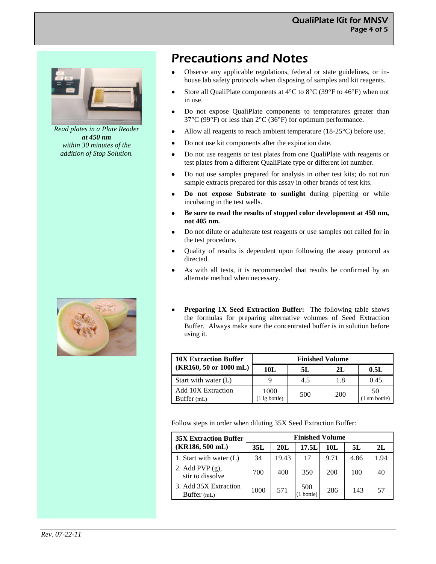

*Read plates in a Plate Reader at 450 nm within 30 minutes of the addition of Stop Solution.*



### Precautions and Notes

- Observe any applicable regulations, federal or state guidelines, or in- $\bullet$ house lab safety protocols when disposing of samples and kit reagents.
- Store all QualiPlate components at 4°C to 8°C (39°F to 46°F) when not in use.
- Do not expose QualiPlate components to temperatures greater than  $\bullet$ 37°C (99°F) or less than 2°C (36°F) for optimum performance.
- Allow all reagents to reach ambient temperature (18-25°C) before use.  $\bullet$
- Do not use kit components after the expiration date.
- Do not use reagents or test plates from one QualiPlate with reagents or  $\bullet$ test plates from a different QualiPlate type or different lot number.
- Do not use samples prepared for analysis in other test kits; do not run  $\bullet$ sample extracts prepared for this assay in other brands of test kits.
- **Do not expose Substrate to sunlight** during pipetting or while  $\bullet$ incubating in the test wells.
- **Be sure to read the results of stopped color development at 450 nm,**   $\bullet$ **not 405 nm.**
- Do not dilute or adulterate test reagents or use samples not called for in  $\bullet$ the test procedure.
- Quality of results is dependent upon following the assay protocol as  $\bullet$ directed.
- As with all tests, it is recommended that results be confirmed by an  $\bullet$ alternate method when necessary.
- **Preparing 1X Seed Extraction Buffer:** The following table shows the formulas for preparing alternative volumes of Seed Extraction Buffer. Always make sure the concentrated buffer is in solution before using it.

| <b>10X Extraction Buffer</b>              | <b>Finished Volume</b> |     |     |                     |  |  |
|-------------------------------------------|------------------------|-----|-----|---------------------|--|--|
| $(KR160, 50 \text{ or } 1000 \text{ mL})$ | 10L                    | 5L  | 2L  | 0.5L                |  |  |
| Start with water $(L)$                    |                        | 4.5 | 1.8 | 0.45                |  |  |
| <b>Add 10X Extraction</b><br>Buffer (mL)  | 1000<br>1 lg bottle)   | 500 | 200 | 50<br>(1 sm bottle) |  |  |

Follow steps in order when diluting 35X Seed Extraction Buffer:

| <b>35X Extraction Buffer</b>           | <b>Finished Volume</b> |       |                |      |      |      |  |  |
|----------------------------------------|------------------------|-------|----------------|------|------|------|--|--|
| $(KR186, 500$ mL)                      | 35L                    | 20L   | 17.5L          | 10L  | 5L   | 2L   |  |  |
| 1. Start with water $(L)$              | 34                     | 19.43 | 17             | 9.71 | 4.86 | 1.94 |  |  |
| 2. Add PVP $(g)$ ,<br>stir to dissolve | 700                    | 400   | 350            | 200  | 100  | 40   |  |  |
| 3. Add 35X Extraction<br>Buffer (mL)   | 1000                   | 571   | 500<br>bottle) | 286  | 143  | 57   |  |  |